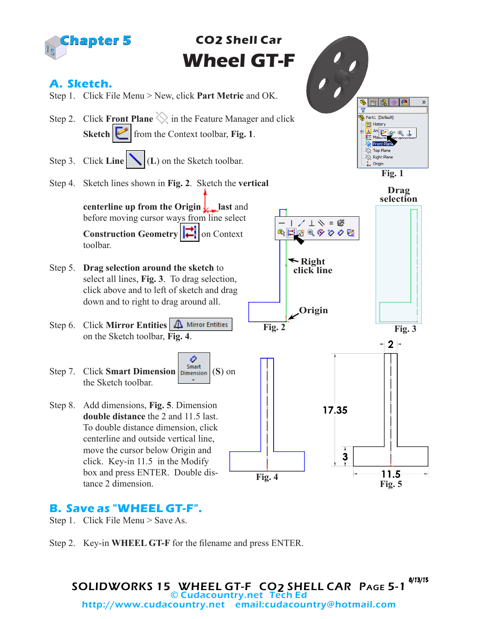

### **B. Save as "WHEEL GT-F".**

- Step 1. Click File Menu > Save As.
- Step 2. Key-in **WHEEL GT-F** for the filename and press ENTER.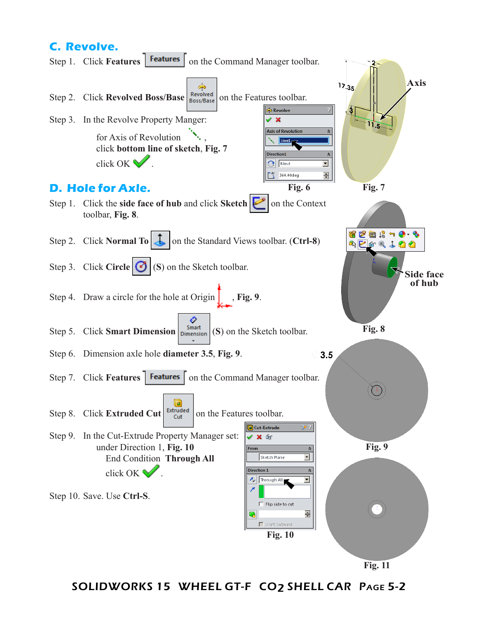## **C. Revolve.**



**Fig. 11**

SOLIDWORKS 15 WHEEL GT-F CO2 SHELL CAR Page 5-2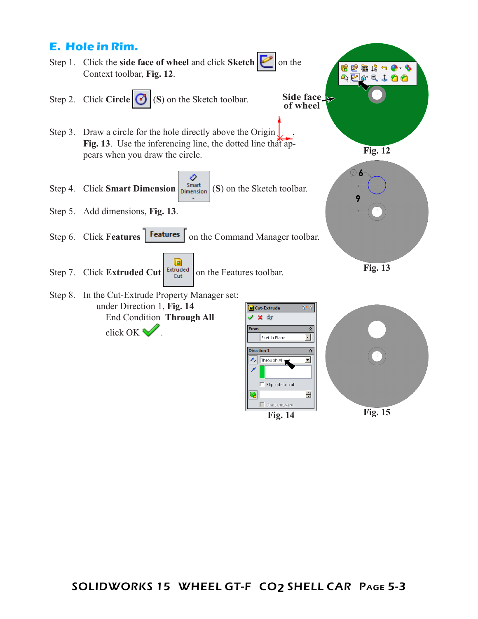

**Fig. 14 Fig. 15**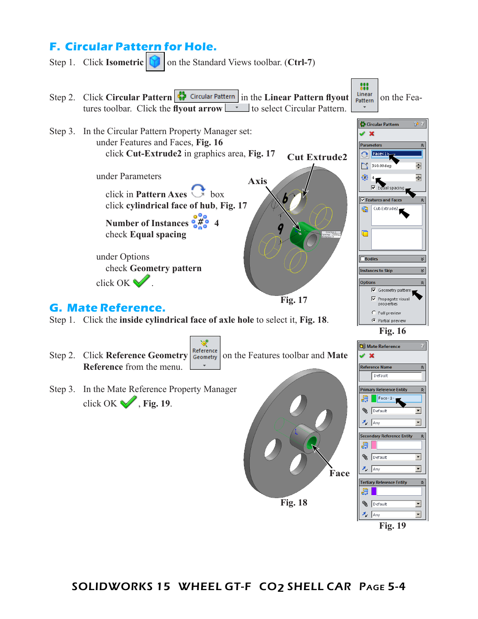# **F. Circular Pattern for Hole.**

Step 1. Click **Isometric D** on the Standard Views toolbar. (Ctrl-7)

 $\frac{000}{000}$ Step 2. Click **Circular Pattern**  $\left|\frac{1}{2}\right|$  Circular Pattern in the Linear Pattern flyout  $\left|\frac{linear}{Pattern}\right|$  on the Features toolbar. Click the **flyout arrow the select Circular Pattern.** ₿ Circular Pattern Step 3. In the Circular Pattern Property Manager set:  $\mathscr{L}$   $\mathbb{X}$ under Features and Faces, **Fig. 16 Parameters**  $\hat{\mathbf{x}}$  click **Cut-Extrude2** in graphics area, **Fig. 17 G** Face<1> **Cut Extrude2** 360.00deg 츾 under Parameters  $\frac{300}{900}$  4 츾 **Axis** .<br>al spacing click in **Pattern Axes** box Þ es and Far click **cylindrical face of hub**, **Fig. 17** Cut-Extrude: **Number of Instances**  $\frac{6}{9}$   $\frac{1}{9}$  4 check **Equal spacing**  $\blacksquare$ under Options  $\overline{\Box}$  Bodies check **Geometry pattern Instances to Skip**  $\propto$ click OK . Geometry pattern **Fig. 17**  $\nabla$  Propagate visual<br>properties **G. Mate Reference.** C Full preview Step 1. Click the **inside cylindrical face of axle hole** to select it, **Fig. 18**. C Partial preview **Fig. 16 Q** Mate Reference Step 2. Click **Reference Geometry Geometry** on the Features toolbar and **Mate**  $\mathscr{L}$   $\mathbb{X}$ **Reference** from the menu. **Reference Name**  $\hat{\mathcal{R}}$ Default Step 3. In the Mate Reference Property Manager **Primary Reference Entity**  $Factor 1$ click OK , **Fig. 19. Default**  $\overline{\phantom{a}}$  $\lambda$  Any न **Secondary Reference Entity**  $\hat{\mathbb{X}}$ 위 **B** Default  $\overline{\mathbf{r}}$  $\sqrt{\frac{1}{2}}$  Any  $\overline{\phantom{0}}$ **FaceTertiary Reference Entity**  $\hat{\mathcal{R}}$ R I **Fig. 18 B** Default  $\overline{\mathbf{r}}$  $\overline{\phantom{0}}$  $\lambda$  Any

**Fig. 19**